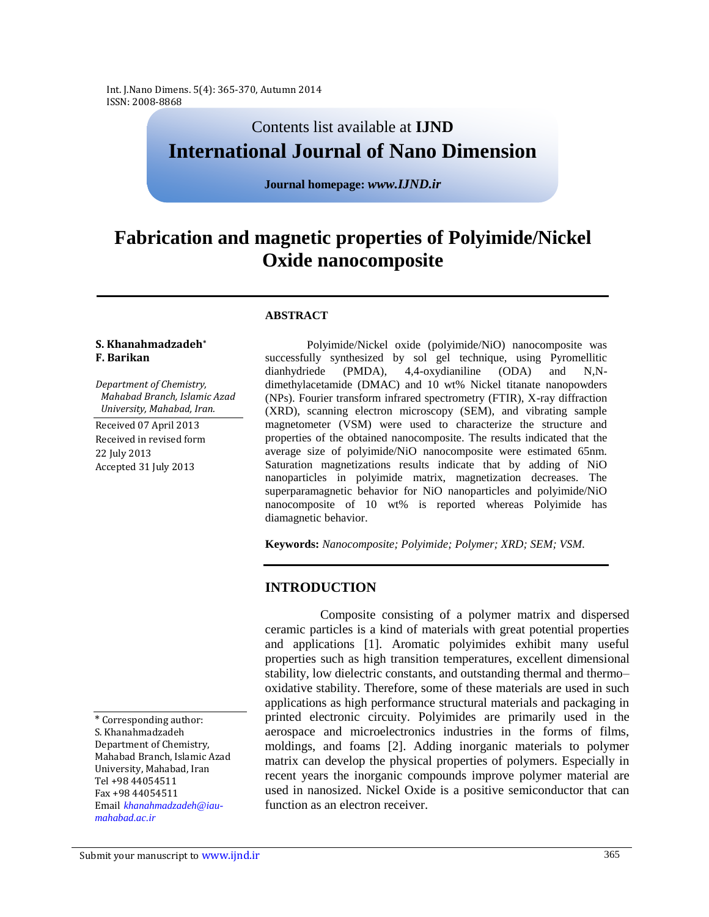Int. J.Nano Dimens. 5(4): 365-370, Autumn 2014 ISSN: 2008-8868

## Contents list available at **IJND International Journal of Nano Dimension**

**Journal homepage:** *www.IJND.ir*

# **Fabrication and magnetic properties of Polyimide/Nickel Oxide nanocomposite**

#### **ABSTRACT**

#### **S. Khanahmadzadeh\* F. Barikan**

*Department of Chemistry, Mahabad Branch, Islamic Azad University, Mahabad, Iran.*

Received 07 April 2013 Received in revised form 22 July 2013 Accepted 31 July 2013

successfully synthesized by sol gel technique, using Pyromellitic dianhydriede (PMDA), 4,4-oxydianiline (ODA) and N,Ndimethylacetamide (DMAC) and 10 wt% Nickel titanate nanopowders (NPs). Fourier transform infrared spectrometry (FTIR), X-ray diffraction (XRD), scanning electron microscopy (SEM), and vibrating sample magnetometer (VSM) were used to characterize the structure and properties of the obtained nanocomposite. The results indicated that the average size of polyimide/NiO nanocomposite were estimated 65nm. Saturation magnetizations results indicate that by adding of NiO nanoparticles in polyimide matrix, magnetization decreases. The superparamagnetic behavior for NiO nanoparticles and polyimide/NiO nanocomposite of 10 wt% is reported whereas Polyimide has diamagnetic behavior.

Polyimide/Nickel oxide (polyimide/NiO) nanocomposite was

**Keywords:** *Nanocomposite; Polyimide; Polymer; XRD; SEM; VSM.*

#### **INTRODUCTION**

Composite consisting of a polymer matrix and dispersed ceramic particles is a kind of materials with great potential properties and applications [1]. Aromatic polyimides exhibit many useful properties such as high transition temperatures, excellent dimensional stability, low dielectric constants, and outstanding thermal and thermo– oxidative stability. Therefore, some of these materials are used in such applications as high performance structural materials and packaging in printed electronic circuity. Polyimides are primarily used in the aerospace and microelectronics industries in the forms of films, moldings, and foams [2]. Adding inorganic materials to polymer matrix can develop the physical properties of polymers. Especially in recent years the inorganic compounds improve polymer material are used in nanosized. Nickel Oxide is a positive semiconductor that can function as an electron receiver.

<sup>\*</sup> Corresponding author: S. Khanahmadzadeh Department of Chemistry, Mahabad Branch, Islamic Azad University, Mahabad, Iran Tel +98 44054511 Fax +98 44054511 Email *khanahmadzadeh@iaumahabad.ac.ir*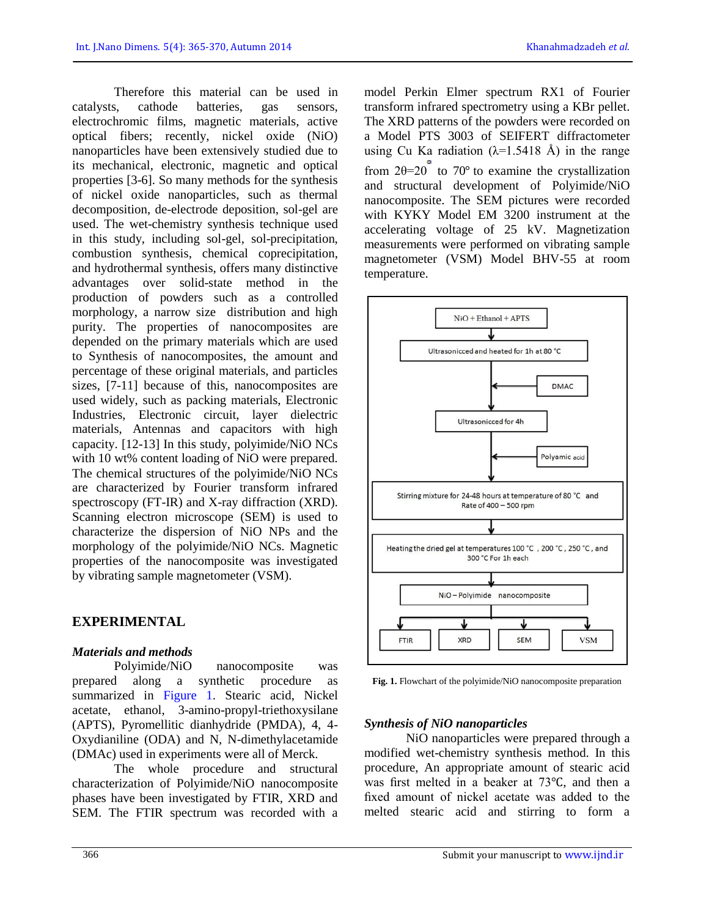Therefore this material can be used in catalysts, cathode batteries, gas sensors, electrochromic films, magnetic materials, active optical fibers; recently, nickel oxide (NiO) nanoparticles have been extensively studied due to its mechanical, electronic, magnetic and optical properties [3-6]. So many methods for the synthesis of nickel oxide nanoparticles, such as thermal decomposition, de-electrode deposition, sol-gel are used. The wet-chemistry synthesis technique used in this study, including sol-gel, sol-precipitation, combustion synthesis, chemical coprecipitation, and hydrothermal synthesis, offers many distinctive advantages over solid-state method in the production of powders such as a controlled morphology, a narrow size distribution and high purity. The properties of nanocomposites are depended on the primary materials which are used to Synthesis of nanocomposites, the amount and percentage of these original materials, and particles sizes, [7-11] because of this, nanocomposites are used widely, such as packing materials, Electronic Industries, Electronic circuit, layer dielectric materials, Antennas and capacitors with high capacity. [12-13] In this study, polyimide/NiO NCs with 10 wt% content loading of NiO were prepared. The chemical structures of the polyimide/NiO NCs are characterized by Fourier transform infrared spectroscopy (FT-IR) and X-ray diffraction (XRD). Scanning electron microscope (SEM) is used to characterize the dispersion of NiO NPs and the morphology of the polyimide/NiO NCs. Magnetic properties of the nanocomposite was investigated by vibrating sample magnetometer (VSM).

## **EXPERIMENTAL**

## *Materials and methods*

Polyimide/NiO nanocomposite was prepared along a synthetic procedure as summarized in Figure 1. Stearic acid, Nickel acetate, ethanol, 3-amino-propyl-triethoxysilane (APTS), Pyromellitic dianhydride (PMDA), 4, 4- Oxydianiline (ODA) and N, N-dimethylacetamide (DMAc) used in experiments were all of Merck.

The whole procedure and structural characterization of Polyimide/NiO nanocomposite phases have been investigated by FTIR, XRD and SEM. The FTIR spectrum was recorded with a model Perkin Elmer spectrum RX1 of Fourier transform infrared spectrometry using a KBr pellet. The XRD patterns of the powders were recorded on a Model PTS 3003 of SEIFERT diffractometer using Cu Ka radiation  $(\lambda=1.5418 \text{ Å})$  in the range from  $2\theta=20$  to 70° to examine the crystallization and structural development of Polyimide/NiO nanocomposite. The SEM pictures were recorded with KYKY Model EM 3200 instrument at the accelerating voltage of 25 kV. Magnetization measurements were performed on vibrating sample magnetometer (VSM) Model BHV-55 at room temperature.



**Fig. 1.** Flowchart of the polyimide/NiO nanocomposite preparation

## *Synthesis of NiO nanoparticles*

NiO nanoparticles were prepared through a modified wet-chemistry synthesis method. In this procedure, An appropriate amount of stearic acid was first melted in a beaker at 73℃, and then a fixed amount of nickel acetate was added to the melted stearic acid and stirring to form a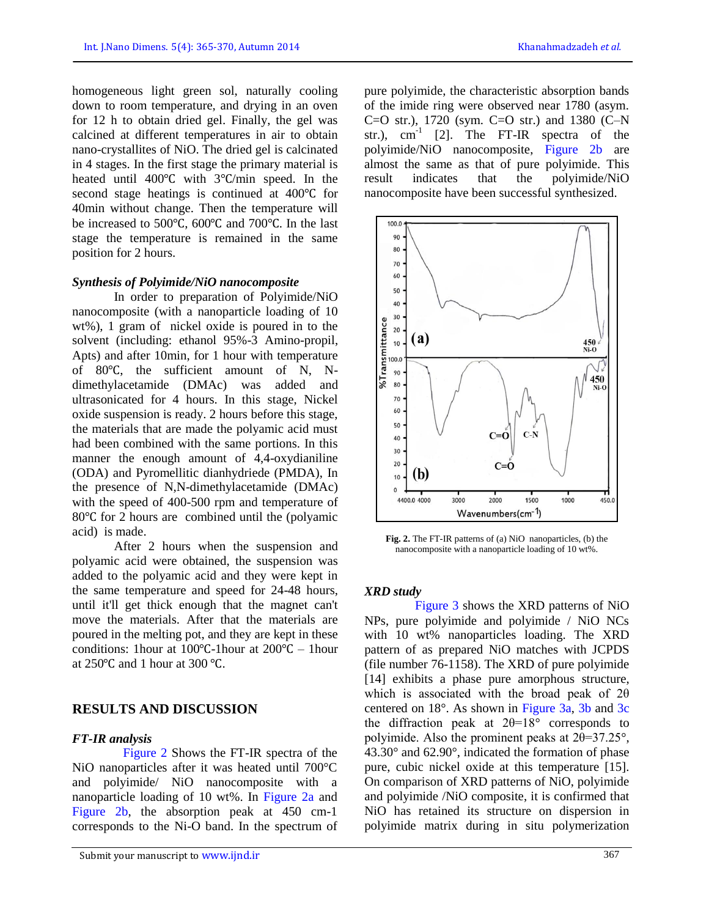homogeneous light green sol, naturally cooling down to room temperature, and drying in an oven for 12 h to obtain dried gel. Finally, the gel was calcined at different temperatures in air to obtain nano-crystallites of NiO. The dried gel is calcinated in 4 stages. In the first stage the primary material is heated until 400℃ with 3℃/min speed. In the second stage heatings is continued at 400℃ for 40min without change. Then the temperature will be increased to 500℃, 600℃ and 700℃. In the last stage the temperature is remained in the same position for 2 hours.

#### *Synthesis of Polyimide/NiO nanocomposite*

In order to preparation of Polyimide/NiO nanocomposite (with a nanoparticle loading of 10 wt%), 1 gram of nickel oxide is poured in to the solvent (including: ethanol 95%-3 Amino-propil, Apts) and after 10min, for 1 hour with temperature of 80℃, the sufficient amount of N, Ndimethylacetamide (DMAc) was added and ultrasonicated for 4 hours. In this stage, Nickel oxide suspension is ready. 2 hours before this stage, the materials that are made the polyamic acid must had been combined with the same portions. In this manner the enough amount of 4,4-oxydianiline (ODA) and Pyromellitic dianhydriede (PMDA), In the presence of N,N-dimethylacetamide (DMAc) with the speed of 400-500 rpm and temperature of 80℃ for 2 hours are combined until the (polyamic acid) is made.

After 2 hours when the suspension and polyamic acid were obtained, the suspension was added to the polyamic acid and they were kept in the same temperature and speed for 24-48 hours, until it'll get thick enough that the magnet can't move the materials. After that the materials are poured in the melting pot, and they are kept in these conditions: 1hour at 100℃-1hour at 200℃ – 1hour at 250℃ and 1 hour at 300 ℃.

## **RESULTS AND DISCUSSION**

#### *FT-IR analysis*

Figure 2 Shows the FT-IR spectra of the NiO nanoparticles after it was heated until 700°C and polyimide/ NiO nanocomposite with a nanoparticle loading of 10 wt%. In Figure 2a and Figure 2b, the absorption peak at 450 cm-1 corresponds to the Ni-O band. In the spectrum of pure polyimide, the characteristic absorption bands of the imide ring were observed near 1780 (asym. C=O str.), 1720 (sym. C=O str.) and 1380 (C–N str.),  $cm^{-1}$  [2]. The FT-IR spectra of the polyimide/NiO nanocomposite, Figure 2b are almost the same as that of pure polyimide. This result indicates that the polyimide/NiO nanocomposite have been successful synthesized.



**Fig. 2.** The FT-IR patterns of (a) NiO nanoparticles, (b) the nanocomposite with a nanoparticle loading of 10 wt%.

#### *XRD study*

Figure 3 shows the XRD patterns of NiO NPs, pure polyimide and polyimide / NiO NCs with 10 wt% nanoparticles loading. The XRD pattern of as prepared NiO matches with JCPDS (file number 76-1158). The XRD of pure polyimide [14] exhibits a phase pure amorphous structure, which is associated with the broad peak of 2θ centered on 18°. As shown in Figure 3a, 3b and 3c the diffraction peak at  $2\theta=18^\circ$  corresponds to polyimide. Also the prominent peaks at 2θ=37.25°, 43.30° and 62.90°, indicated the formation of phase pure, cubic nickel oxide at this temperature [15]. On comparison of XRD patterns of NiO, polyimide and polyimide /NiO composite, it is confirmed that NiO has retained its structure on dispersion in polyimide matrix during in situ polymerization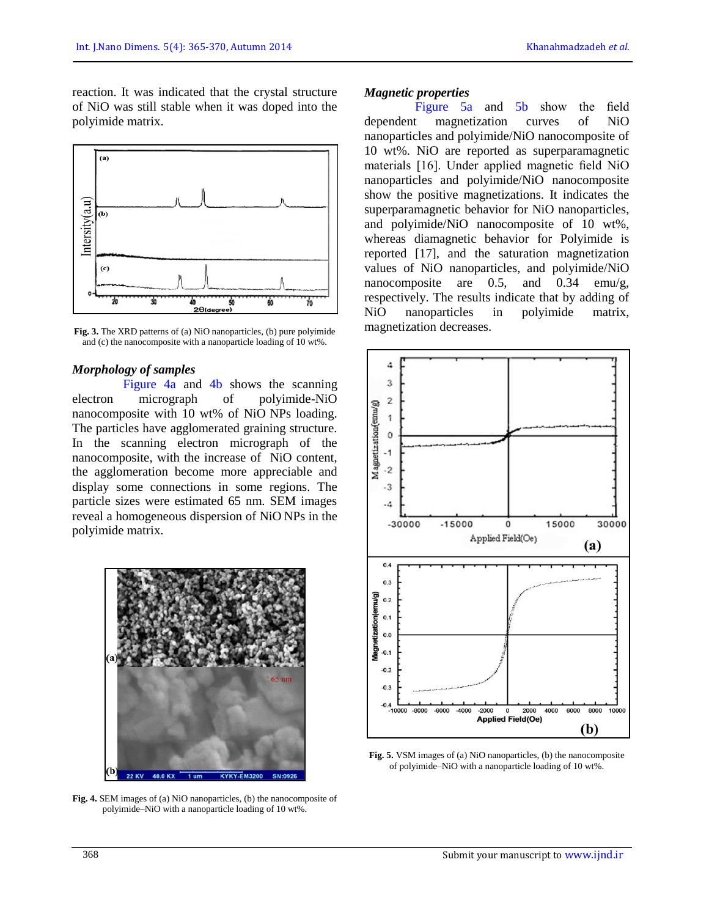reaction. It was indicated that the crystal structure of NiO was still stable when it was doped into the polyimide matrix.



**Fig. 3.** The XRD patterns of (a) NiO nanoparticles, (b) pure polyimide and (c) the nanocomposite with a nanoparticle loading of 10 wt%.

#### *Morphology of samples*

Figure 4a and 4b shows the scanning electron micrograph of polyimide-NiO nanocomposite with 10 wt% of NiO NPs loading. The particles have agglomerated graining structure. In the scanning electron micrograph of the nanocomposite, with the increase of NiO content, the agglomeration become more appreciable and display some connections in some regions. The particle sizes were estimated 65 nm. SEM images reveal a homogeneous dispersion of NiO NPs in the polyimide matrix.



**Fig. 4.** SEM images of (a) NiO nanoparticles, (b) the nanocomposite of polyimide–NiO with a nanoparticle loading of 10 wt%.

#### *Magnetic properties*

Figure 5a and 5b show the field dependent magnetization curves of NiO nanoparticles and polyimide/NiO nanocomposite of 10 wt%. NiO are reported as superparamagnetic materials [16]. Under applied magnetic field NiO nanoparticles and polyimide/NiO nanocomposite show the positive magnetizations. It indicates the superparamagnetic behavior for NiO nanoparticles, and polyimide/NiO nanocomposite of 10 wt%, whereas diamagnetic behavior for Polyimide is reported [17], and the saturation magnetization values of NiO nanoparticles, and polyimide/NiO nanocomposite are 0.5, and 0.34 emu/g, respectively. The results indicate that by adding of NiO nanoparticles in polyimide matrix, magnetization decreases.



**Fig. 5.** VSM images of (a) NiO nanoparticles, (b) the nanocomposite of polyimide–NiO with a nanoparticle loading of 10 wt%.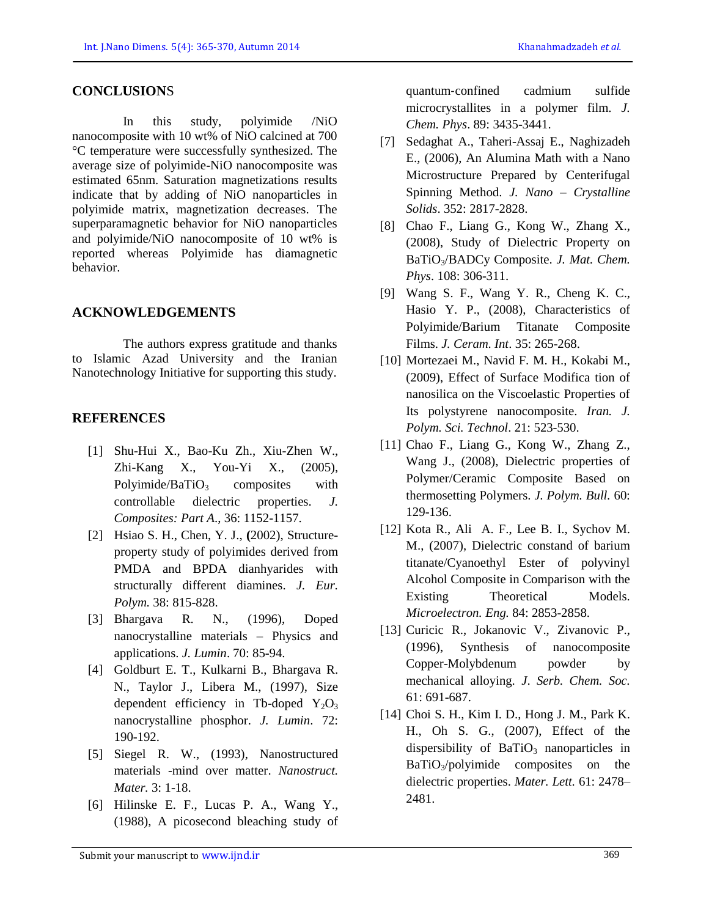### **CONCLUSION**S

In this study, polyimide /NiO nanocomposite with 10 wt% of NiO calcined at 700 °C temperature were successfully synthesized. The average size of polyimide-NiO nanocomposite was estimated 65nm. Saturation magnetizations results indicate that by adding of NiO nanoparticles in polyimide matrix, magnetization decreases. The superparamagnetic behavior for NiO nanoparticles and polyimide/NiO nanocomposite of 10 wt% is reported whereas Polyimide has diamagnetic behavior.

## **ACKNOWLEDGEMENTS**

The authors express gratitude and thanks to Islamic Azad University and the Iranian Nanotechnology Initiative for supporting this study.

## **REFERENCES**

- [1] Shu-Hui X., Bao-Ku Zh., Xiu-Zhen W., Zhi-Kang X., You-Yi X., (2005), Polyimide/BaTiO<sub>3</sub> composites with controllable dielectric properties. *J. Composites: Part A*., 36: 1152-1157.
- [2] Hsiao S. H., Chen, Y. J., **(**2002), Structureproperty study of polyimides derived from PMDA and BPDA dianhyarides with structurally different diamines. *J. Eur. Polym.* 38: 815-828.
- [3] Bhargava R. N., (1996), Doped nanocrystalline materials – Physics and applications. *J. Lumin*. 70: 85-94.
- [4] Goldburt E. T., Kulkarni B., Bhargava R. N., Taylor J., Libera M., (1997), Size dependent efficiency in Tb-doped  $Y_2O_3$ nanocrystalline phosphor. *J. Lumin*. 72: 190-192.
- [5] Siegel R. W., (1993), Nanostructured materials -mind over matter. *Nanostruct. Mater.* 3: 1-18.
- [6] Hilinske E. F., Lucas P. A., Wang Y., (1988), A picosecond bleaching study of

quantum‐confined cadmium sulfide microcrystallites in a polymer film. *J. Chem. Phys*. 89: 3435-3441.

- [7] Sedaghat A., Taheri-Assaj E., Naghizadeh E., (2006), An Alumina Math with a Nano Microstructure Prepared by Centerifugal Spinning Method. *J. Nano – Crystalline Solids*. 352: 2817-2828.
- [8] Chao F., Liang G., Kong W., Zhang X., (2008), Study of Dielectric Property on BaTiO3/BADCy Composite. *J. Mat. Chem. Phys*. 108: 306-311.
- [9] Wang S. F., Wang Y. R., Cheng K. C., Hasio Y. P., (2008), Characteristics of Polyimide/Barium Titanate Composite Films. *J. Ceram. Int*. 35: 265-268.
- [10] Mortezaei M., Navid F. M. H., Kokabi M., (2009), Effect of Surface Modifica tion of nanosilica on the Viscoelastic Properties of Its polystyrene nanocomposite. *Iran. J. Polym. Sci. Technol*. 21: 523-530.
- [11] Chao F., Liang G., Kong W., Zhang Z., Wang J., (2008), Dielectric properties of Polymer/Ceramic Composite Based on thermosetting Polymers. *J. Polym. Bull.* 60: 129-136.
- [12] Kota R., Ali A. F., Lee B. I., Sychov M. M., (2007), Dielectric constand of barium titanate/Cyanoethyl Ester of polyvinyl Alcohol Composite in Comparison with the Existing Theoretical Models. *Microelectron. Eng.* 84: 2853-2858.
- [13] Curicic R., Jokanovic V., Zivanovic P., (1996), Synthesis of nanocomposite Copper-Molybdenum powder by mechanical alloying. *J*. *Serb. Chem. Soc.* 61: 691-687.
- [14] Choi S. H., Kim I. D., Hong J. M., Park K. H., Oh S. G., (2007), Effect of the dispersibility of  $BaTiO<sub>3</sub>$  nanoparticles in  $BaTiO<sub>3</sub>/polyimide$  composites on the dielectric properties. *Mater. Lett.* 61: 2478– 2481.